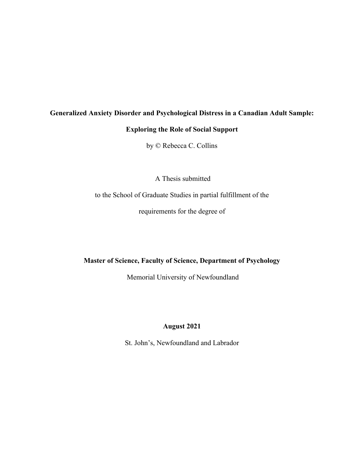# **Generalized Anxiety Disorder and Psychological Distress in a Canadian Adult Sample:**

# **Exploring the Role of Social Support**

by © Rebecca C. Collins

A Thesis submitted

to the School of Graduate Studies in partial fulfillment of the

requirements for the degree of

**Master of Science, Faculty of Science, Department of Psychology**

Memorial University of Newfoundland

# **August 2021**

St. John's, Newfoundland and Labrador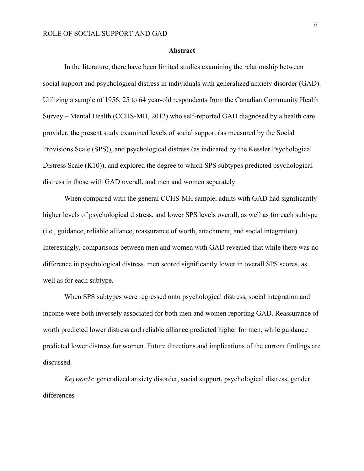#### **Abstract**

In the literature, there have been limited studies examining the relationship between social support and psychological distress in individuals with generalized anxiety disorder (GAD). Utilizing a sample of 1956, 25 to 64 year-old respondents from the Canadian Community Health Survey – Mental Health (CCHS-MH, 2012) who self-reported GAD diagnosed by a health care provider, the present study examined levels of social support (as measured by the Social Provisions Scale (SPS)), and psychological distress (as indicated by the Kessler Psychological Distress Scale (K10)), and explored the degree to which SPS subtypes predicted psychological distress in those with GAD overall, and men and women separately.

When compared with the general CCHS-MH sample, adults with GAD had significantly higher levels of psychological distress, and lower SPS levels overall, as well as for each subtype (i.e., guidance, reliable alliance, reassurance of worth, attachment, and social integration). Interestingly, comparisons between men and women with GAD revealed that while there was no difference in psychological distress, men scored significantly lower in overall SPS scores, as well as for each subtype.

When SPS subtypes were regressed onto psychological distress, social integration and income were both inversely associated for both men and women reporting GAD. Reassurance of worth predicted lower distress and reliable alliance predicted higher for men, while guidance predicted lower distress for women. Future directions and implications of the current findings are discussed.

*Keywords*: generalized anxiety disorder, social support, psychological distress, gender differences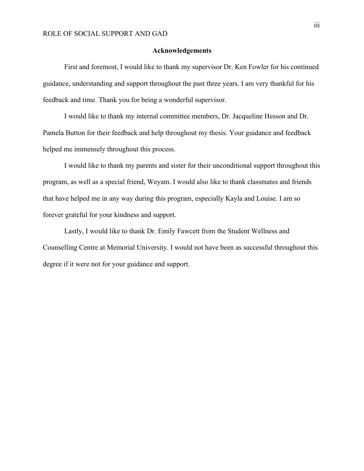### **Acknowledgements**

First and foremost, I would like to thank my supervisor Dr. Ken Fowler for his continued guidance, understanding and support throughout the past three years. I am very thankful for his feedback and time. Thank you for being a wonderful supervisor.

I would like to thank my internal committee members, Dr. Jacqueline Hesson and Dr. Pamela Button for their feedback and help throughout my thesis. Your guidance and feedback helped me immensely throughout this process.

I would like to thank my parents and sister for their unconditional support throughout this program, as well as a special friend, Weyam. I would also like to thank classmates and friends that have helped me in any way during this program, especially Kayla and Louise. I am so forever grateful for your kindness and support.

Lastly, I would like to thank Dr. Emily Fawcett from the Student Wellness and Counselling Centre at Memorial University. I would not have been as successful throughout this degree if it were not for your guidance and support.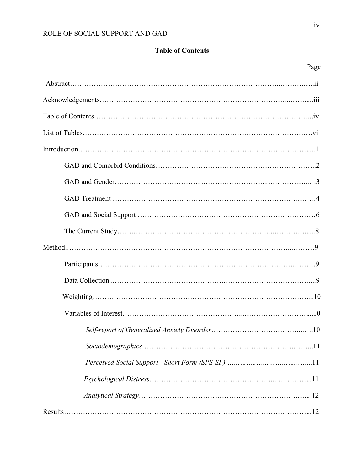# **Table of Contents**

| Page |
|------|
|      |
|      |
|      |
|      |
|      |
|      |
|      |
|      |
|      |
|      |
|      |
|      |
|      |
|      |
|      |
|      |
|      |
|      |
|      |
|      |
|      |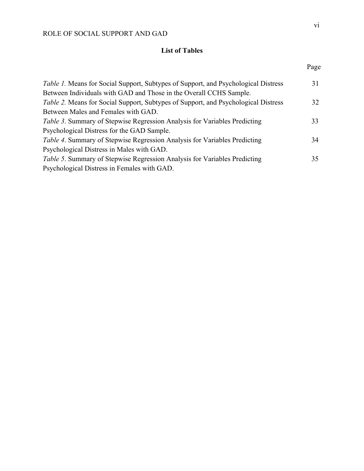# **List of Tables**

| <i>Table 1.</i> Means for Social Support, Subtypes of Support, and Psychological Distress | 31 |
|-------------------------------------------------------------------------------------------|----|
| Between Individuals with GAD and Those in the Overall CCHS Sample.                        |    |
| Table 2. Means for Social Support, Subtypes of Support, and Psychological Distress        | 32 |
| Between Males and Females with GAD.                                                       |    |
| Table 3. Summary of Stepwise Regression Analysis for Variables Predicting                 | 33 |
| Psychological Distress for the GAD Sample.                                                |    |
| Table 4. Summary of Stepwise Regression Analysis for Variables Predicting                 | 34 |
| Psychological Distress in Males with GAD.                                                 |    |
| Table 5. Summary of Stepwise Regression Analysis for Variables Predicting                 | 35 |
| Psychological Distress in Females with GAD.                                               |    |
|                                                                                           |    |

Page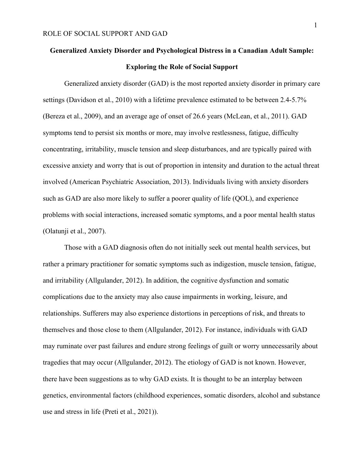# **Generalized Anxiety Disorder and Psychological Distress in a Canadian Adult Sample: Exploring the Role of Social Support**

Generalized anxiety disorder (GAD) is the most reported anxiety disorder in primary care settings (Davidson et al., 2010) with a lifetime prevalence estimated to be between 2.4-5.7% (Bereza et al., 2009), and an average age of onset of 26.6 years (McLean, et al., 2011). GAD symptoms tend to persist six months or more, may involve restlessness, fatigue, difficulty concentrating, irritability, muscle tension and sleep disturbances, and are typically paired with excessive anxiety and worry that is out of proportion in intensity and duration to the actual threat involved (American Psychiatric Association, 2013). Individuals living with anxiety disorders such as GAD are also more likely to suffer a poorer quality of life (QOL), and experience problems with social interactions, increased somatic symptoms, and a poor mental health status (Olatunji et al., 2007).

Those with a GAD diagnosis often do not initially seek out mental health services, but rather a primary practitioner for somatic symptoms such as indigestion, muscle tension, fatigue, and irritability (Allgulander, 2012). In addition, the cognitive dysfunction and somatic complications due to the anxiety may also cause impairments in working, leisure, and relationships. Sufferers may also experience distortions in perceptions of risk, and threats to themselves and those close to them (Allgulander, 2012). For instance, individuals with GAD may ruminate over past failures and endure strong feelings of guilt or worry unnecessarily about tragedies that may occur (Allgulander, 2012). The etiology of GAD is not known. However, there have been suggestions as to why GAD exists. It is thought to be an interplay between genetics, environmental factors (childhood experiences, somatic disorders, alcohol and substance use and stress in life (Preti et al., 2021)).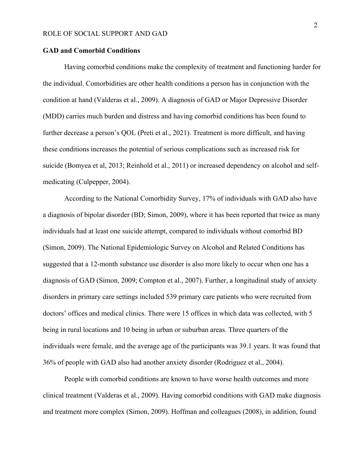# **GAD and Comorbid Conditions**

Having comorbid conditions make the complexity of treatment and functioning harder for the individual. Comorbidities are other health conditions a person has in conjunction with the condition at hand (Valderas et al., 2009). A diagnosis of GAD or Major Depressive Disorder (MDD) carries much burden and distress and having comorbid conditions has been found to further decrease a person's QOL (Preti et al., 2021). Treatment is more difficult, and having these conditions increases the potential of serious complications such as increased risk for suicide (Bomyea et al, 2013; Reinhold et al., 2011) or increased dependency on alcohol and selfmedicating (Culpepper, 2004).

According to the National Comorbidity Survey, 17% of individuals with GAD also have a diagnosis of bipolar disorder (BD; Simon, 2009), where it has been reported that twice as many individuals had at least one suicide attempt, compared to individuals without comorbid BD (Simon, 2009). The National Epidemiologic Survey on Alcohol and Related Conditions has suggested that a 12-month substance use disorder is also more likely to occur when one has a diagnosis of GAD (Simon, 2009; Compton et al., 2007). Further, a longitudinal study of anxiety disorders in primary care settings included 539 primary care patients who were recruited from doctors' offices and medical clinics. There were 15 offices in which data was collected, with 5 being in rural locations and 10 being in urban or suburban areas. Three quarters of the individuals were female, and the average age of the participants was 39.1 years. It was found that 36% of people with GAD also had another anxiety disorder (Rodriguez et al., 2004).

People with comorbid conditions are known to have worse health outcomes and more clinical treatment (Valderas et al., 2009). Having comorbid conditions with GAD make diagnosis and treatment more complex (Simon, 2009). Hoffman and colleagues (2008), in addition, found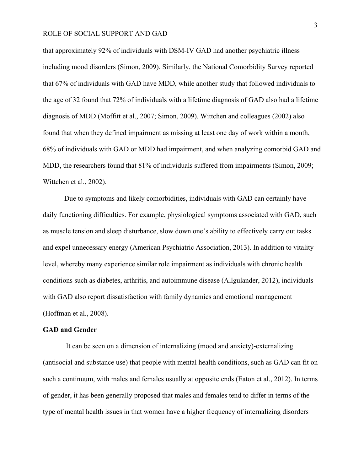that approximately 92% of individuals with DSM-IV GAD had another psychiatric illness including mood disorders (Simon, 2009). Similarly, the National Comorbidity Survey reported that 67% of individuals with GAD have MDD, while another study that followed individuals to the age of 32 found that 72% of individuals with a lifetime diagnosis of GAD also had a lifetime diagnosis of MDD (Moffitt et al., 2007; Simon, 2009). Wittchen and colleagues (2002) also found that when they defined impairment as missing at least one day of work within a month, 68% of individuals with GAD or MDD had impairment, and when analyzing comorbid GAD and MDD, the researchers found that 81% of individuals suffered from impairments (Simon, 2009; Wittchen et al., 2002).

Due to symptoms and likely comorbidities, individuals with GAD can certainly have daily functioning difficulties. For example, physiological symptoms associated with GAD, such as muscle tension and sleep disturbance, slow down one's ability to effectively carry out tasks and expel unnecessary energy (American Psychiatric Association, 2013). In addition to vitality level, whereby many experience similar role impairment as individuals with chronic health conditions such as diabetes, arthritis, and autoimmune disease (Allgulander, 2012), individuals with GAD also report dissatisfaction with family dynamics and emotional management (Hoffman et al., 2008).

#### **GAD and Gender**

It can be seen on a dimension of internalizing (mood and anxiety)-externalizing (antisocial and substance use) that people with mental health conditions, such as GAD can fit on such a continuum, with males and females usually at opposite ends (Eaton et al., 2012). In terms of gender, it has been generally proposed that males and females tend to differ in terms of the type of mental health issues in that women have a higher frequency of internalizing disorders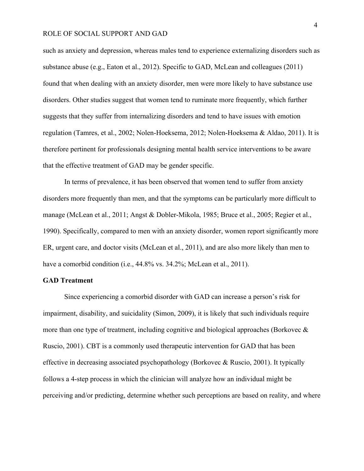such as anxiety and depression, whereas males tend to experience externalizing disorders such as substance abuse (e.g., Eaton et al., 2012). Specific to GAD, McLean and colleagues (2011) found that when dealing with an anxiety disorder, men were more likely to have substance use disorders. Other studies suggest that women tend to ruminate more frequently, which further suggests that they suffer from internalizing disorders and tend to have issues with emotion regulation (Tamres, et al., 2002; Nolen-Hoeksema, 2012; Nolen-Hoeksema & Aldao, 2011). It is therefore pertinent for professionals designing mental health service interventions to be aware that the effective treatment of GAD may be gender specific.

In terms of prevalence, it has been observed that women tend to suffer from anxiety disorders more frequently than men, and that the symptoms can be particularly more difficult to manage (McLean et al., 2011; Angst & Dobler-Mikola, 1985; Bruce et al., 2005; Regier et al., 1990). Specifically, compared to men with an anxiety disorder, women report significantly more ER, urgent care, and doctor visits (McLean et al., 2011), and are also more likely than men to have a comorbid condition (i.e., 44.8% vs. 34.2%; McLean et al., 2011).

#### **GAD Treatment**

Since experiencing a comorbid disorder with GAD can increase a person's risk for impairment, disability, and suicidality (Simon, 2009), it is likely that such individuals require more than one type of treatment, including cognitive and biological approaches (Borkovec & Ruscio, 2001). CBT is a commonly used therapeutic intervention for GAD that has been effective in decreasing associated psychopathology (Borkovec & Ruscio, 2001). It typically follows a 4-step process in which the clinician will analyze how an individual might be perceiving and/or predicting, determine whether such perceptions are based on reality, and where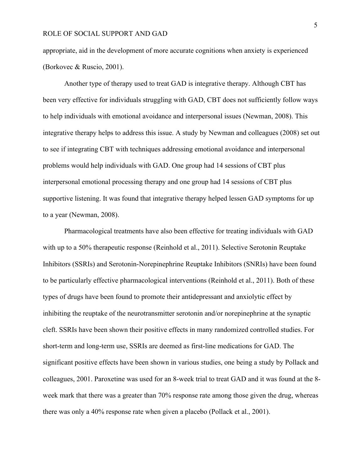appropriate, aid in the development of more accurate cognitions when anxiety is experienced (Borkovec & Ruscio, 2001).

Another type of therapy used to treat GAD is integrative therapy. Although CBT has been very effective for individuals struggling with GAD, CBT does not sufficiently follow ways to help individuals with emotional avoidance and interpersonal issues (Newman, 2008). This integrative therapy helps to address this issue. A study by Newman and colleagues (2008) set out to see if integrating CBT with techniques addressing emotional avoidance and interpersonal problems would help individuals with GAD. One group had 14 sessions of CBT plus interpersonal emotional processing therapy and one group had 14 sessions of CBT plus supportive listening. It was found that integrative therapy helped lessen GAD symptoms for up to a year (Newman, 2008).

Pharmacological treatments have also been effective for treating individuals with GAD with up to a 50% therapeutic response (Reinhold et al., 2011). Selective Serotonin Reuptake Inhibitors (SSRIs) and Serotonin-Norepinephrine Reuptake Inhibitors (SNRIs) have been found to be particularly effective pharmacological interventions (Reinhold et al., 2011). Both of these types of drugs have been found to promote their antidepressant and anxiolytic effect by inhibiting the reuptake of the neurotransmitter serotonin and/or norepinephrine at the synaptic cleft. SSRIs have been shown their positive effects in many randomized controlled studies. For short-term and long-term use, SSRIs are deemed as first-line medications for GAD. The significant positive effects have been shown in various studies, one being a study by Pollack and colleagues, 2001. Paroxetine was used for an 8-week trial to treat GAD and it was found at the 8 week mark that there was a greater than 70% response rate among those given the drug, whereas there was only a 40% response rate when given a placebo (Pollack et al., 2001).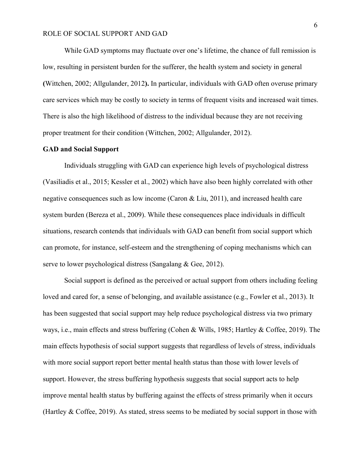While GAD symptoms may fluctuate over one's lifetime, the chance of full remission is low, resulting in persistent burden for the sufferer, the health system and society in general **(**Wittchen, 2002; Allgulander, 2012**).** In particular, individuals with GAD often overuse primary care services which may be costly to society in terms of frequent visits and increased wait times. There is also the high likelihood of distress to the individual because they are not receiving proper treatment for their condition (Wittchen, 2002; Allgulander, 2012).

#### **GAD and Social Support**

Individuals struggling with GAD can experience high levels of psychological distress (Vasiliadis et al., 2015; Kessler et al., 2002) which have also been highly correlated with other negative consequences such as low income (Caron  $\&$  Liu, 2011), and increased health care system burden (Bereza et al., 2009). While these consequences place individuals in difficult situations, research contends that individuals with GAD can benefit from social support which can promote, for instance, self-esteem and the strengthening of coping mechanisms which can serve to lower psychological distress (Sangalang & Gee, 2012).

Social support is defined as the perceived or actual support from others including feeling loved and cared for, a sense of belonging, and available assistance (e.g., Fowler et al., 2013). It has been suggested that social support may help reduce psychological distress via two primary ways, i.e., main effects and stress buffering (Cohen & Wills, 1985; Hartley & Coffee, 2019). The main effects hypothesis of social support suggests that regardless of levels of stress, individuals with more social support report better mental health status than those with lower levels of support. However, the stress buffering hypothesis suggests that social support acts to help improve mental health status by buffering against the effects of stress primarily when it occurs (Hartley & Coffee, 2019). As stated, stress seems to be mediated by social support in those with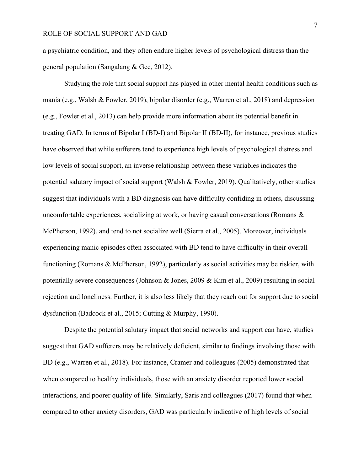a psychiatric condition, and they often endure higher levels of psychological distress than the general population (Sangalang & Gee, 2012).

Studying the role that social support has played in other mental health conditions such as mania (e.g., Walsh & Fowler, 2019), bipolar disorder (e.g., Warren et al., 2018) and depression (e.g., Fowler et al., 2013) can help provide more information about its potential benefit in treating GAD. In terms of Bipolar I (BD-I) and Bipolar II (BD-II), for instance, previous studies have observed that while sufferers tend to experience high levels of psychological distress and low levels of social support, an inverse relationship between these variables indicates the potential salutary impact of social support (Walsh & Fowler, 2019). Qualitatively, other studies suggest that individuals with a BD diagnosis can have difficulty confiding in others, discussing uncomfortable experiences, socializing at work, or having casual conversations (Romans & McPherson, 1992), and tend to not socialize well (Sierra et al., 2005). Moreover, individuals experiencing manic episodes often associated with BD tend to have difficulty in their overall functioning (Romans & McPherson, 1992), particularly as social activities may be riskier, with potentially severe consequences (Johnson & Jones, 2009 & Kim et al., 2009) resulting in social rejection and loneliness. Further, it is also less likely that they reach out for support due to social dysfunction (Badcock et al., 2015; Cutting & Murphy, 1990).

Despite the potential salutary impact that social networks and support can have, studies suggest that GAD sufferers may be relatively deficient, similar to findings involving those with BD (e.g., Warren et al., 2018). For instance, Cramer and colleagues (2005) demonstrated that when compared to healthy individuals, those with an anxiety disorder reported lower social interactions, and poorer quality of life. Similarly, Saris and colleagues (2017) found that when compared to other anxiety disorders, GAD was particularly indicative of high levels of social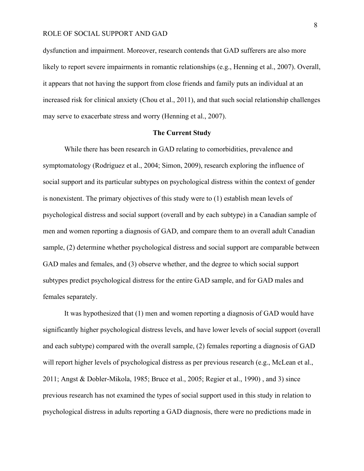dysfunction and impairment. Moreover, research contends that GAD sufferers are also more likely to report severe impairments in romantic relationships (e.g., Henning et al., 2007). Overall, it appears that not having the support from close friends and family puts an individual at an increased risk for clinical anxiety (Chou et al., 2011), and that such social relationship challenges may serve to exacerbate stress and worry (Henning et al., 2007).

## **The Current Study**

While there has been research in GAD relating to comorbidities, prevalence and symptomatology (Rodriguez et al., 2004; Simon, 2009), research exploring the influence of social support and its particular subtypes on psychological distress within the context of gender is nonexistent. The primary objectives of this study were to (1) establish mean levels of psychological distress and social support (overall and by each subtype) in a Canadian sample of men and women reporting a diagnosis of GAD, and compare them to an overall adult Canadian sample, (2) determine whether psychological distress and social support are comparable between GAD males and females, and (3) observe whether, and the degree to which social support subtypes predict psychological distress for the entire GAD sample, and for GAD males and females separately.

It was hypothesized that (1) men and women reporting a diagnosis of GAD would have significantly higher psychological distress levels, and have lower levels of social support (overall and each subtype) compared with the overall sample, (2) females reporting a diagnosis of GAD will report higher levels of psychological distress as per previous research (e.g., McLean et al., 2011; Angst & Dobler-Mikola, 1985; Bruce et al., 2005; Regier et al., 1990) , and 3) since previous research has not examined the types of social support used in this study in relation to psychological distress in adults reporting a GAD diagnosis, there were no predictions made in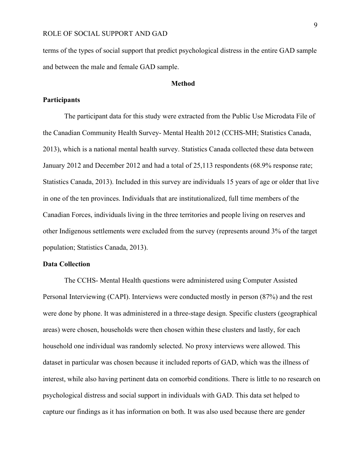terms of the types of social support that predict psychological distress in the entire GAD sample and between the male and female GAD sample.

## **Method**

## **Participants**

The participant data for this study were extracted from the Public Use Microdata File of the Canadian Community Health Survey- Mental Health 2012 (CCHS-MH; Statistics Canada, 2013), which is a national mental health survey. Statistics Canada collected these data between January 2012 and December 2012 and had a total of 25,113 respondents (68.9% response rate; Statistics Canada, 2013). Included in this survey are individuals 15 years of age or older that live in one of the ten provinces. Individuals that are institutionalized, full time members of the Canadian Forces, individuals living in the three territories and people living on reserves and other Indigenous settlements were excluded from the survey (represents around 3% of the target population; Statistics Canada, 2013).

#### **Data Collection**

The CCHS- Mental Health questions were administered using Computer Assisted Personal Interviewing (CAPI). Interviews were conducted mostly in person (87%) and the rest were done by phone. It was administered in a three-stage design. Specific clusters (geographical areas) were chosen, households were then chosen within these clusters and lastly, for each household one individual was randomly selected. No proxy interviews were allowed. This dataset in particular was chosen because it included reports of GAD, which was the illness of interest, while also having pertinent data on comorbid conditions. There is little to no research on psychological distress and social support in individuals with GAD. This data set helped to capture our findings as it has information on both. It was also used because there are gender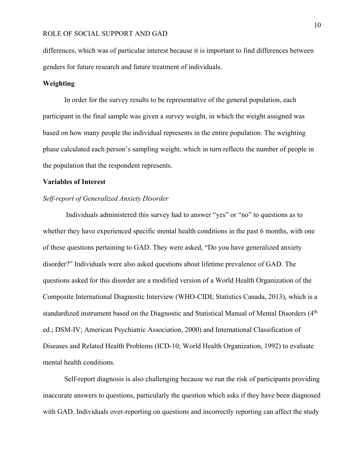differences, which was of particular interest because it is important to find differences between genders for future research and future treatment of individuals.

# **Weighting**

In order for the survey results to be representative of the general population, each participant in the final sample was given a survey weight, in which the weight assigned was based on how many people the individual represents in the entire population. The weighting phase calculated each person's sampling weight, which in turn reflects the number of people in the population that the respondent represents.

## **Variables of Interest**

## *Self-report of Generalized Anxiety Disorder*

Individuals administered this survey had to answer "yes" or "no" to questions as to whether they have experienced specific mental health conditions in the past 6 months, with one of these questions pertaining to GAD. They were asked, "Do you have generalized anxiety disorder?" Individuals were also asked questions about lifetime prevalence of GAD. The questions asked for this disorder are a modified version of a World Health Organization of the Composite International Diagnostic Interview (WHO-CIDI; Statistics Canada, 2013), which is a standardized instrument based on the Diagnostic and Statistical Manual of Mental Disorders (4<sup>th</sup>) ed.; DSM-IV; American Psychiatric Association, 2000) and International Classification of Diseases and Related Health Problems (ICD-10; World Health Organization, 1992) to evaluate mental health conditions.

Self-report diagnosis is also challenging because we run the risk of participants providing inaccurate answers to questions, particularly the question which asks if they have been diagnosed with GAD. Individuals over-reporting on questions and incorrectly reporting can affect the study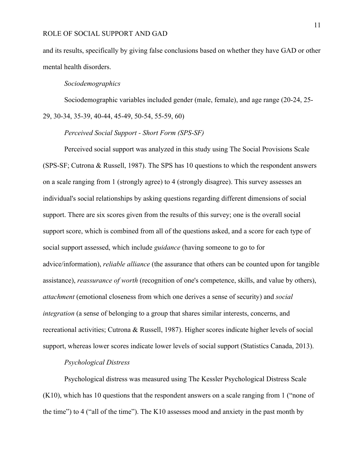and its results, specifically by giving false conclusions based on whether they have GAD or other mental health disorders.

#### *Sociodemographics*

Sociodemographic variables included gender (male, female), and age range (20-24, 25- 29, 30-34, 35-39, 40-44, 45-49, 50-54, 55-59, 60)

# *Perceived Social Support - Short Form (SPS-SF)*

Perceived social support was analyzed in this study using The Social Provisions Scale (SPS-SF; Cutrona & Russell, 1987). The SPS has 10 questions to which the respondent answers on a scale ranging from 1 (strongly agree) to 4 (strongly disagree). This survey assesses an individual's social relationships by asking questions regarding different dimensions of social support. There are six scores given from the results of this survey; one is the overall social support score, which is combined from all of the questions asked, and a score for each type of social support assessed, which include *guidance* (having someone to go to for advice/information), *reliable alliance* (the assurance that others can be counted upon for tangible assistance), *reassurance of worth* (recognition of one's competence, skills, and value by others), *attachment* (emotional closeness from which one derives a sense of security) and *social integration* (a sense of belonging to a group that shares similar interests, concerns, and recreational activities; Cutrona & Russell, 1987). Higher scores indicate higher levels of social support, whereas lower scores indicate lower levels of social support (Statistics Canada, 2013).

## *Psychological Distress*

Psychological distress was measured using The Kessler Psychological Distress Scale (K10), which has 10 questions that the respondent answers on a scale ranging from 1 ("none of the time") to 4 ("all of the time"). The K10 assesses mood and anxiety in the past month by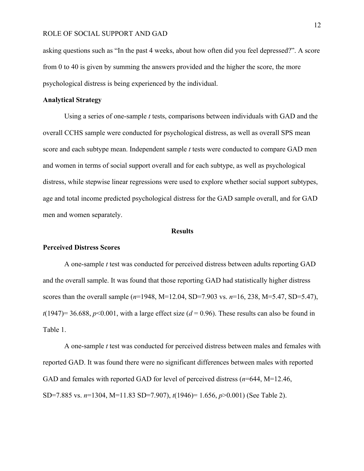asking questions such as "In the past 4 weeks, about how often did you feel depressed?". A score from 0 to 40 is given by summing the answers provided and the higher the score, the more psychological distress is being experienced by the individual.

# **Analytical Strategy**

Using a series of one-sample *t* tests, comparisons between individuals with GAD and the overall CCHS sample were conducted for psychological distress, as well as overall SPS mean score and each subtype mean. Independent sample *t* tests were conducted to compare GAD men and women in terms of social support overall and for each subtype, as well as psychological distress, while stepwise linear regressions were used to explore whether social support subtypes, age and total income predicted psychological distress for the GAD sample overall, and for GAD men and women separately.

#### **Results**

## **Perceived Distress Scores**

A one-sample *t* test was conducted for perceived distress between adults reporting GAD and the overall sample. It was found that those reporting GAD had statistically higher distress scores than the overall sample (*n*=1948, M=12.04, SD=7.903 vs. *n*=16, 238, M=5.47, SD=5.47),  $t(1947)=36.688$ ,  $p<0.001$ , with a large effect size ( $d=0.96$ ). These results can also be found in Table 1.

A one-sample *t* test was conducted for perceived distress between males and females with reported GAD. It was found there were no significant differences between males with reported GAD and females with reported GAD for level of perceived distress (*n*=644, M=12.46, SD=7.885 vs. *n*=1304, M=11.83 SD=7.907), *t*(1946)= 1.656, *p*>0.001) (See Table 2).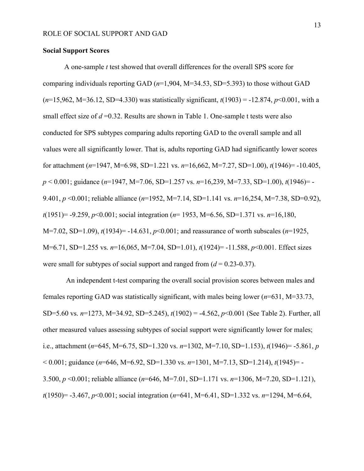#### **Social Support Scores**

A one-sample *t* test showed that overall differences for the overall SPS score for comparing individuals reporting GAD (*n*=1,904, M=34.53, SD=5.393) to those without GAD (*n*=15,962, M=36.12, SD=4.330) was statistically significant, *t*(1903) = -12.874, *p*<0.001, with a small effect size of  $d = 0.32$ . Results are shown in Table 1. One-sample t tests were also conducted for SPS subtypes comparing adults reporting GAD to the overall sample and all values were all significantly lower. That is, adults reporting GAD had significantly lower scores for attachment (*n*=1947, M=6.98, SD=1.221 vs. *n*=16,662, M=7.27, SD=1.00), *t*(1946)= -10.405, *p* < 0.001; guidance (*n*=1947, M=7.06, SD=1.257 vs. *n*=16,239, M=7.33, SD=1.00), *t*(1946)= - 9.401, *p* <0.001; reliable alliance (*n*=1952, M=7.14, SD=1.141 vs. *n*=16,254, M=7.38, SD=0.92), *t*(1951)= -9.259, *p*<0.001; social integration (*n*= 1953, M=6.56, SD=1.371 vs. *n*=16,180, M=7.02, SD=1.09), *t*(1934)= -14.631, *p*<0.001; and reassurance of worth subscales (*n*=1925, M=6.71, SD=1.255 vs. *n*=16,065, M=7.04, SD=1.01), *t*(1924)= -11.588, *p*<0.001. Effect sizes were small for subtypes of social support and ranged from (*d* = 0.23-0.37).

An independent t-test comparing the overall social provision scores between males and females reporting GAD was statistically significant, with males being lower (*n*=631, M=33.73, SD=5.60 vs. *n*=1273, M=34.92, SD=5.245), *t*(1902) = -4.562, *p*<0.001 (See Table 2). Further, all other measured values assessing subtypes of social support were significantly lower for males; i.e., attachment (*n*=645, M=6.75, SD=1.320 vs. *n*=1302, M=7.10, SD=1.153), *t*(1946)= -5.861, *p* < 0.001; guidance (*n*=646, M=6.92, SD=1.330 vs. *n*=1301, M=7.13, SD=1.214), *t*(1945)= - 3.500, *p* <0.001; reliable alliance (*n*=646, M=7.01, SD=1.171 vs. *n*=1306, M=7.20, SD=1.121), *t*(1950)= -3.467, *p*<0.001; social integration (*n*=641, M=6.41, SD=1.332 vs. *n*=1294, M=6.64,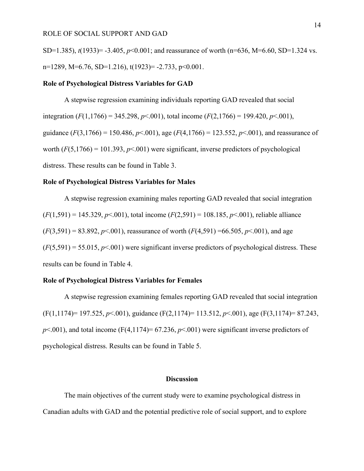SD=1.385), *t*(1933)= -3.405, *p*<0.001; and reassurance of worth (n=636, M=6.60, SD=1.324 vs. n=1289, M=6.76, SD=1.216), t(1923)= -2.733, p<0.001.

#### **Role of Psychological Distress Variables for GAD**

A stepwise regression examining individuals reporting GAD revealed that social integration  $(F(1,1766) = 345.298, p<.001)$ , total income  $(F(2,1766) = 199.420, p<.001)$ , guidance  $(F(3,1766) = 150.486, p \le 0.001)$ , age  $(F(4,1766) = 123.552, p \le 0.001)$ , and reassurance of worth  $(F(5,1766) = 101.393, p<0.001)$  were significant, inverse predictors of psychological distress. These results can be found in Table 3.

#### **Role of Psychological Distress Variables for Males**

A stepwise regression examining males reporting GAD revealed that social integration (*F*(1,591) = 145.329, *p*<.001), total income (*F*(2,591) = 108.185, *p*<.001), reliable alliance  $(F(3,591) = 83.892, p \le 0.001)$ , reassurance of worth  $(F(4,591) = 66.505, p \le 0.001)$ , and age  $(F(5,591) = 55.015, p<0.01)$  were significant inverse predictors of psychological distress. These results can be found in Table 4.

## **Role of Psychological Distress Variables for Females**

A stepwise regression examining females reporting GAD revealed that social integration (F(1,1174)= 197.525, *p*<.001), guidance (F(2,1174)= 113.512, *p*<.001), age (F(3,1174)= 87.243,  $p<.001$ ), and total income (F(4,1174)= 67.236,  $p<.001$ ) were significant inverse predictors of psychological distress. Results can be found in Table 5.

#### **Discussion**

The main objectives of the current study were to examine psychological distress in Canadian adults with GAD and the potential predictive role of social support, and to explore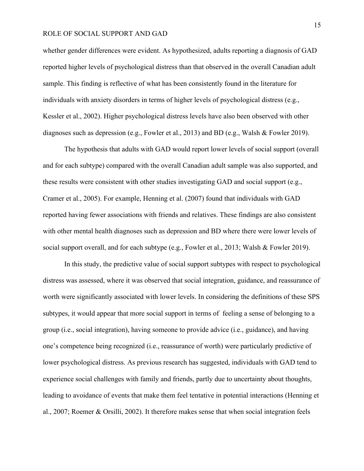whether gender differences were evident. As hypothesized, adults reporting a diagnosis of GAD reported higher levels of psychological distress than that observed in the overall Canadian adult sample. This finding is reflective of what has been consistently found in the literature for individuals with anxiety disorders in terms of higher levels of psychological distress (e.g., Kessler et al., 2002). Higher psychological distress levels have also been observed with other diagnoses such as depression (e.g., Fowler et al., 2013) and BD (e.g., Walsh & Fowler 2019).

The hypothesis that adults with GAD would report lower levels of social support (overall and for each subtype) compared with the overall Canadian adult sample was also supported, and these results were consistent with other studies investigating GAD and social support (e.g., Cramer et al., 2005). For example, Henning et al. (2007) found that individuals with GAD reported having fewer associations with friends and relatives. These findings are also consistent with other mental health diagnoses such as depression and BD where there were lower levels of social support overall, and for each subtype (e.g., Fowler et al., 2013; Walsh & Fowler 2019).

In this study, the predictive value of social support subtypes with respect to psychological distress was assessed, where it was observed that social integration, guidance, and reassurance of worth were significantly associated with lower levels. In considering the definitions of these SPS subtypes, it would appear that more social support in terms of feeling a sense of belonging to a group (i.e., social integration), having someone to provide advice (i.e., guidance), and having one's competence being recognized (i.e., reassurance of worth) were particularly predictive of lower psychological distress. As previous research has suggested, individuals with GAD tend to experience social challenges with family and friends, partly due to uncertainty about thoughts, leading to avoidance of events that make them feel tentative in potential interactions (Henning et al., 2007; Roemer & Orsilli, 2002). It therefore makes sense that when social integration feels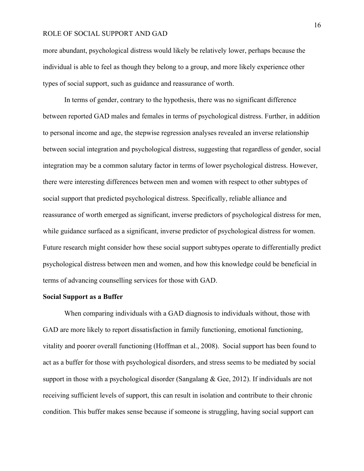more abundant, psychological distress would likely be relatively lower, perhaps because the individual is able to feel as though they belong to a group, and more likely experience other types of social support, such as guidance and reassurance of worth.

In terms of gender, contrary to the hypothesis, there was no significant difference between reported GAD males and females in terms of psychological distress. Further, in addition to personal income and age, the stepwise regression analyses revealed an inverse relationship between social integration and psychological distress, suggesting that regardless of gender, social integration may be a common salutary factor in terms of lower psychological distress. However, there were interesting differences between men and women with respect to other subtypes of social support that predicted psychological distress. Specifically, reliable alliance and reassurance of worth emerged as significant, inverse predictors of psychological distress for men, while guidance surfaced as a significant, inverse predictor of psychological distress for women. Future research might consider how these social support subtypes operate to differentially predict psychological distress between men and women, and how this knowledge could be beneficial in terms of advancing counselling services for those with GAD.

## **Social Support as a Buffer**

When comparing individuals with a GAD diagnosis to individuals without, those with GAD are more likely to report dissatisfaction in family functioning, emotional functioning, vitality and poorer overall functioning (Hoffman et al., 2008). Social support has been found to act as a buffer for those with psychological disorders, and stress seems to be mediated by social support in those with a psychological disorder (Sangalang & Gee, 2012). If individuals are not receiving sufficient levels of support, this can result in isolation and contribute to their chronic condition. This buffer makes sense because if someone is struggling, having social support can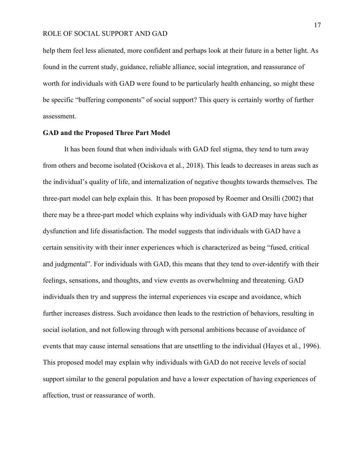help them feel less alienated, more confident and perhaps look at their future in a better light. As found in the current study, guidance, reliable alliance, social integration, and reassurance of worth for individuals with GAD were found to be particularly health enhancing, so might these be specific "buffering components" of social support? This query is certainly worthy of further assessment.

#### **GAD and the Proposed Three Part Model**

It has been found that when individuals with GAD feel stigma, they tend to turn away from others and become isolated (Ociskova et al., 2018). This leads to decreases in areas such as the individual's quality of life, and internalization of negative thoughts towards themselves. The three-part model can help explain this. It has been proposed by Roemer and Orsilli (2002) that there may be a three-part model which explains why individuals with GAD may have higher dysfunction and life dissatisfaction. The model suggests that individuals with GAD have a certain sensitivity with their inner experiences which is characterized as being "fused, critical and judgmental". For individuals with GAD, this means that they tend to over-identify with their feelings, sensations, and thoughts, and view events as overwhelming and threatening. GAD individuals then try and suppress the internal experiences via escape and avoidance, which further increases distress. Such avoidance then leads to the restriction of behaviors, resulting in social isolation, and not following through with personal ambitions because of avoidance of events that may cause internal sensations that are unsettling to the individual (Hayes et al., 1996). This proposed model may explain why individuals with GAD do not receive levels of social support similar to the general population and have a lower expectation of having experiences of affection, trust or reassurance of worth.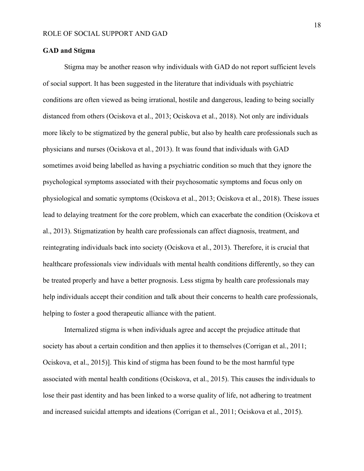## **GAD and Stigma**

Stigma may be another reason why individuals with GAD do not report sufficient levels of social support. It has been suggested in the literature that individuals with psychiatric conditions are often viewed as being irrational, hostile and dangerous, leading to being socially distanced from others (Ociskova et al., 2013; Ociskova et al., 2018). Not only are individuals more likely to be stigmatized by the general public, but also by health care professionals such as physicians and nurses (Ociskova et al., 2013). It was found that individuals with GAD sometimes avoid being labelled as having a psychiatric condition so much that they ignore the psychological symptoms associated with their psychosomatic symptoms and focus only on physiological and somatic symptoms (Ociskova et al., 2013; Ociskova et al., 2018). These issues lead to delaying treatment for the core problem, which can exacerbate the condition (Ociskova et al., 2013). Stigmatization by health care professionals can affect diagnosis, treatment, and reintegrating individuals back into society (Ociskova et al., 2013). Therefore, it is crucial that healthcare professionals view individuals with mental health conditions differently, so they can be treated properly and have a better prognosis. Less stigma by health care professionals may help individuals accept their condition and talk about their concerns to health care professionals, helping to foster a good therapeutic alliance with the patient.

Internalized stigma is when individuals agree and accept the prejudice attitude that society has about a certain condition and then applies it to themselves (Corrigan et al., 2011; Ociskova, et al., 2015)]. This kind of stigma has been found to be the most harmful type associated with mental health conditions (Ociskova, et al., 2015). This causes the individuals to lose their past identity and has been linked to a worse quality of life, not adhering to treatment and increased suicidal attempts and ideations (Corrigan et al., 2011; Ociskova et al., 2015).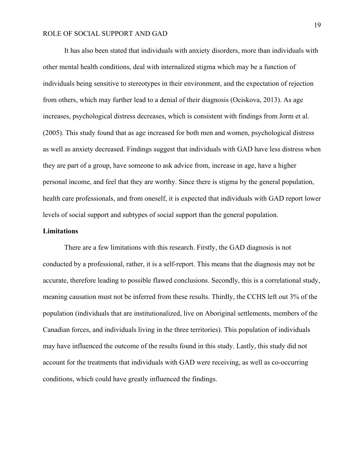It has also been stated that individuals with anxiety disorders, more than individuals with other mental health conditions, deal with internalized stigma which may be a function of individuals being sensitive to stereotypes in their environment, and the expectation of rejection from others, which may further lead to a denial of their diagnosis (Ociskova, 2013). As age increases, psychological distress decreases, which is consistent with findings from Jorm et al. (2005). This study found that as age increased for both men and women, psychological distress as well as anxiety decreased. Findings suggest that individuals with GAD have less distress when they are part of a group, have someone to ask advice from, increase in age, have a higher personal income, and feel that they are worthy. Since there is stigma by the general population, health care professionals, and from oneself, it is expected that individuals with GAD report lower levels of social support and subtypes of social support than the general population.

## **Limitations**

There are a few limitations with this research. Firstly, the GAD diagnosis is not conducted by a professional, rather, it is a self-report. This means that the diagnosis may not be accurate, therefore leading to possible flawed conclusions. Secondly, this is a correlational study, meaning causation must not be inferred from these results. Thirdly, the CCHS left out 3% of the population (individuals that are institutionalized, live on Aboriginal settlements, members of the Canadian forces, and individuals living in the three territories). This population of individuals may have influenced the outcome of the results found in this study. Lastly, this study did not account for the treatments that individuals with GAD were receiving, as well as co-occurring conditions, which could have greatly influenced the findings.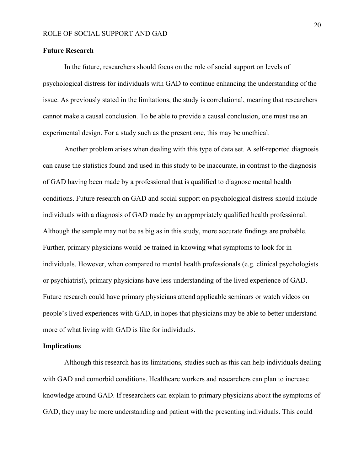#### **Future Research**

In the future, researchers should focus on the role of social support on levels of psychological distress for individuals with GAD to continue enhancing the understanding of the issue. As previously stated in the limitations, the study is correlational, meaning that researchers cannot make a causal conclusion. To be able to provide a causal conclusion, one must use an experimental design. For a study such as the present one, this may be unethical.

Another problem arises when dealing with this type of data set. A self-reported diagnosis can cause the statistics found and used in this study to be inaccurate, in contrast to the diagnosis of GAD having been made by a professional that is qualified to diagnose mental health conditions. Future research on GAD and social support on psychological distress should include individuals with a diagnosis of GAD made by an appropriately qualified health professional. Although the sample may not be as big as in this study, more accurate findings are probable. Further, primary physicians would be trained in knowing what symptoms to look for in individuals. However, when compared to mental health professionals (e.g. clinical psychologists or psychiatrist), primary physicians have less understanding of the lived experience of GAD. Future research could have primary physicians attend applicable seminars or watch videos on people's lived experiences with GAD, in hopes that physicians may be able to better understand more of what living with GAD is like for individuals.

## **Implications**

Although this research has its limitations, studies such as this can help individuals dealing with GAD and comorbid conditions. Healthcare workers and researchers can plan to increase knowledge around GAD. If researchers can explain to primary physicians about the symptoms of GAD, they may be more understanding and patient with the presenting individuals. This could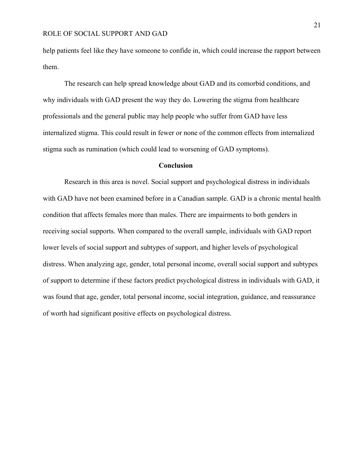help patients feel like they have someone to confide in, which could increase the rapport between them.

The research can help spread knowledge about GAD and its comorbid conditions, and why individuals with GAD present the way they do. Lowering the stigma from healthcare professionals and the general public may help people who suffer from GAD have less internalized stigma. This could result in fewer or none of the common effects from internalized stigma such as rumination (which could lead to worsening of GAD symptoms).

#### **Conclusion**

Research in this area is novel. Social support and psychological distress in individuals with GAD have not been examined before in a Canadian sample. GAD is a chronic mental health condition that affects females more than males. There are impairments to both genders in receiving social supports. When compared to the overall sample, individuals with GAD report lower levels of social support and subtypes of support, and higher levels of psychological distress. When analyzing age, gender, total personal income, overall social support and subtypes of support to determine if these factors predict psychological distress in individuals with GAD, it was found that age, gender, total personal income, social integration, guidance, and reassurance of worth had significant positive effects on psychological distress.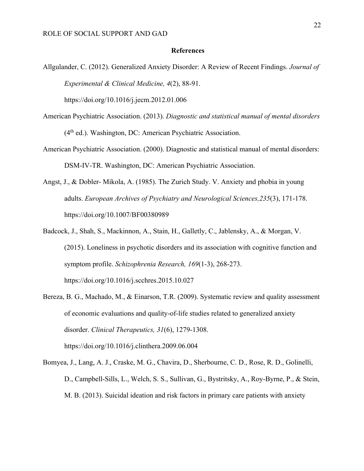#### **References**

Allgulander, C. (2012). Generalized Anxiety Disorder: A Review of Recent Findings. *Journal of Experimental & Clinical Medicine, 4*(2), 88-91.

https://doi.org/10.1016/j.jecm.2012.01.006

- American Psychiatric Association. (2013). *Diagnostic and statistical manual of mental disorders* <sup>(4th</sup> ed.). Washington, DC: American Psychiatric Association.
- American Psychiatric Association. (2000). Diagnostic and statistical manual of mental disorders: DSM-IV-TR. Washington, DC: American Psychiatric Association.
- Angst, J., & Dobler- Mikola, A. (1985). The Zurich Study. V. Anxiety and phobia in young adults. *European Archives of Psychiatry and Neurological Sciences,235*(3), 171-178. https://doi.org/10.1007/BF00380989
- Badcock, J., Shah, S., Mackinnon, A., Stain, H., Galletly, C., Jablensky, A., & Morgan, V. (2015). Loneliness in psychotic disorders and its association with cognitive function and symptom profile. *Schizophrenia Research, 169*(1-3), 268-273. https://doi.org/10.1016/j.scchres.2015.10.027
- Bereza, B. G., Machado, M., & Einarson, T.R. (2009). Systematic review and quality assessment of economic evaluations and quality-of-life studies related to generalized anxiety disorder. *Clinical Therapeutics, 31*(6), 1279-1308. https://doi.org/10.1016/j.clinthera.2009.06.004
- Bomyea, J., Lang, A. J., Craske, M. G., Chavira, D., Sherbourne, C. D., Rose, R. D., Golinelli, D., Campbell-Sills, L., Welch, S. S., Sullivan, G., Bystritsky, A., Roy-Byrne, P., & Stein, M. B. (2013). Suicidal ideation and risk factors in primary care patients with anxiety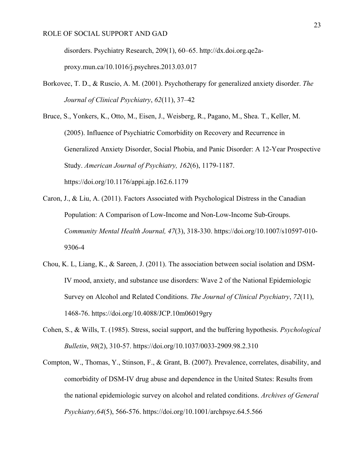disorders. Psychiatry Research, 209(1), 60–65. http://dx.doi.org.qe2aproxy.mun.ca/10.1016/j.psychres.2013.03.017

Borkovec, T. D., & Ruscio, A. M. (2001). Psychotherapy for generalized anxiety disorder. *The Journal of Clinical Psychiatry*, *62*(11), 37–42

Bruce, S., Yonkers, K., Otto, M., Eisen, J., Weisberg, R., Pagano, M., Shea. T., Keller, M. (2005). Influence of Psychiatric Comorbidity on Recovery and Recurrence in Generalized Anxiety Disorder, Social Phobia, and Panic Disorder: A 12-Year Prospective Study. *American Journal of Psychiatry, 162*(6), 1179-1187. https://doi.org/10.1176/appi.ajp.162.6.1179

- Caron, J., & Liu, A. (2011). Factors Associated with Psychological Distress in the Canadian Population: A Comparison of Low-Income and Non-Low-Income Sub-Groups. *Community Mental Health Journal, 47*(3), 318-330. https://doi.org/10.1007/s10597-010- 9306-4
- Chou, K. L, Liang, K., & Sareen, J. (2011). The association between social isolation and DSM-IV mood, anxiety, and substance use disorders: Wave 2 of the National Epidemiologic Survey on Alcohol and Related Conditions. *The Journal of Clinical Psychiatry*, *72*(11), 1468-76. https://doi.org/10.4088/JCP.10m06019gry
- Cohen, S., & Wills, T. (1985). Stress, social support, and the buffering hypothesis. *Psychological Bulletin*, *98*(2), 310-57. https://doi.org/10.1037/0033-2909.98.2.310
- Compton, W., Thomas, Y., Stinson, F., & Grant, B. (2007). Prevalence, correlates, disability, and comorbidity of DSM-IV drug abuse and dependence in the United States: Results from the national epidemiologic survey on alcohol and related conditions. *Archives of General Psychiatry,64*(5), 566-576. https://doi.org/10.1001/archpsyc.64.5.566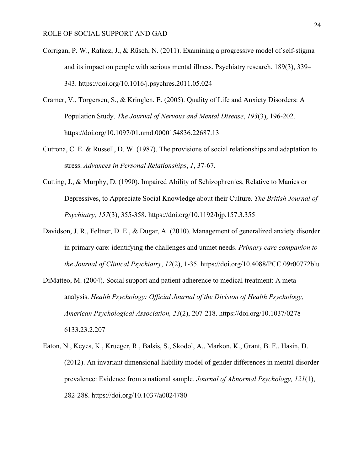- Corrigan, P. W., Rafacz, J., & Rüsch, N. (2011). Examining a progressive model of self-stigma and its impact on people with serious mental illness. Psychiatry research, 189(3), 339– 343. https://doi.org/10.1016/j.psychres.2011.05.024
- Cramer, V., Torgersen, S., & Kringlen, E. (2005). Quality of Life and Anxiety Disorders: A Population Study. *The Journal of Nervous and Mental Disease*, *193*(3), 196-202. https://doi.org/10.1097/01.nmd.0000154836.22687.13
- Cutrona, C. E. & Russell, D. W. (1987). The provisions of social relationships and adaptation to stress. *Advances in Personal Relationships*, *1*, 37-67.
- Cutting, J., & Murphy, D. (1990). Impaired Ability of Schizophrenics, Relative to Manics or Depressives, to Appreciate Social Knowledge about their Culture. *The British Journal of Psychiatry, 157*(3), 355-358. https://doi.org/10.1192/bjp.157.3.355
- Davidson, J. R., Feltner, D. E., & Dugar, A. (2010). Management of generalized anxiety disorder in primary care: identifying the challenges and unmet needs. *Primary care companion to the Journal of Clinical Psychiatry*, *12*(2), 1-35. https://doi.org/10.4088/PCC.09r00772blu
- DiMatteo, M. (2004). Social support and patient adherence to medical treatment: A metaanalysis. *Health Psychology: Official Journal of the Division of Health Psychology, American Psychological Association, 23*(2), 207-218. https://doi.org/10.1037/0278- 6133.23.2.207
- Eaton, N., Keyes, K., Krueger, R., Balsis, S., Skodol, A., Markon, K., Grant, B. F., Hasin, D. (2012). An invariant dimensional liability model of gender differences in mental disorder prevalence: Evidence from a national sample. *Journal of Abnormal Psychology, 121*(1), 282-288. https://doi.org/10.1037/a0024780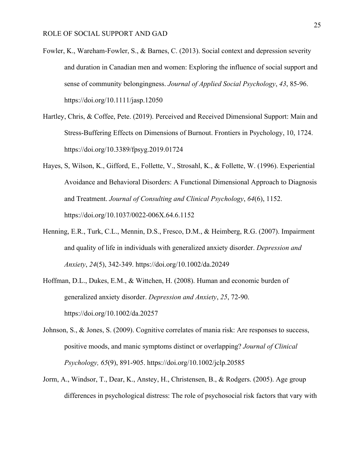- Fowler, K., Wareham-Fowler, S., & Barnes, C. (2013). Social context and depression severity and duration in Canadian men and women: Exploring the influence of social support and sense of community belongingness. *Journal of Applied Social Psychology*, *43*, 85-96. https://doi.org/10.1111/jasp.12050
- Hartley, Chris, & Coffee, Pete. (2019). Perceived and Received Dimensional Support: Main and Stress-Buffering Effects on Dimensions of Burnout. Frontiers in Psychology, 10, 1724. https://doi.org/10.3389/fpsyg.2019.01724
- Hayes, S, Wilson, K., Gifford, E., Follette, V., Strosahl, K., & Follette, W. (1996). Experiential Avoidance and Behavioral Disorders: A Functional Dimensional Approach to Diagnosis and Treatment. *Journal of Consulting and Clinical Psychology*, *64*(6), 1152. https://doi.org/10.1037/0022-006X.64.6.1152
- Henning, E.R., Turk, C.L., Mennin, D.S., Fresco, D.M., & Heimberg, R.G. (2007). Impairment and quality of life in individuals with generalized anxiety disorder. *Depression and Anxiety*, *24*(5), 342-349. https://doi.org/10.1002/da.20249
- Hoffman, D.L., Dukes, E.M., & Wittchen, H. (2008). Human and economic burden of generalized anxiety disorder. *Depression and Anxiety*, *25*, 72-90. https://doi.org/10.1002/da.20257
- Johnson, S., & Jones, S. (2009). Cognitive correlates of mania risk: Are responses to success, positive moods, and manic symptoms distinct or overlapping? *Journal of Clinical Psychology, 65*(9), 891-905. https://doi.org/10.1002/jclp.20585
- Jorm, A., Windsor, T., Dear, K., Anstey, H., Christensen, B., & Rodgers. (2005). Age group differences in psychological distress: The role of psychosocial risk factors that vary with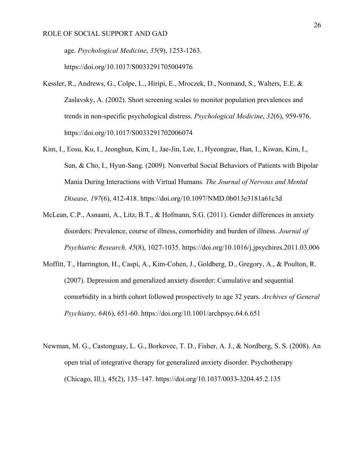age. *Psychological Medicine*, *35*(9), 1253-1263.

https://doi.org/10.1017/S0033291705004976

- Kessler, R., Andrews, G., Colpe, L., Hiripi, E., Mroczek, D., Normand, S., Walters, E.E. & Zaslavsky, A. (2002). Short screening scales to monitor population prevalences and trends in non-specific psychological distress. *Psychological Medicine*, *32*(6), 959-976. https://doi.org/10.1017/S0033291702006074
- Kim, I., Eosu, Ku, I., Jeonghun, Kim, I., Jae-Jin, Lee, I., Hyeongrae, Han, I., Kiwan, Kim, I., Sun, & Cho, I., Hyun-Sang. (2009). Nonverbal Social Behaviors of Patients with Bipolar Mania During Interactions with Virtual Humans. *The Journal of Nervous and Mental Disease, 197*(6), 412-418. https://doi.org/10.1097/NMD.0b013e3181a61c3d
- McLean, C.P., Asnaani, A., Litz, B.T., & Hofmann, S.G. (2011). Gender differences in anxiety disorders: Prevalence, course of illness, comorbidity and burden of illness. *Journal of Psychiatric Research, 45*(8), 1027-1035. https://doi.org/10.1016/j.jpsychires.2011.03.006
- Moffitt, T., Harrington, H., Caspi, A., Kim-Cohen, J., Goldberg, D., Gregory, A., & Poulton, R. (2007). Depression and generalized anxiety disorder: Cumulative and sequential comorbidity in a birth cohort followed prospectively to age 32 years. *Archives of General Psychiatry, 64*(6), 651-60. https://doi.org/10.1001/archpsyc.64.6.651
- Newman, M. G., Castonguay, L. G., Borkovec, T. D., Fisher, A. J., & Nordberg, S. S. (2008). An open trial of integrative therapy for generalized anxiety disorder. Psychotherapy (Chicago, Ill.), 45(2), 135–147. https://doi.org/10.1037/0033-3204.45.2.135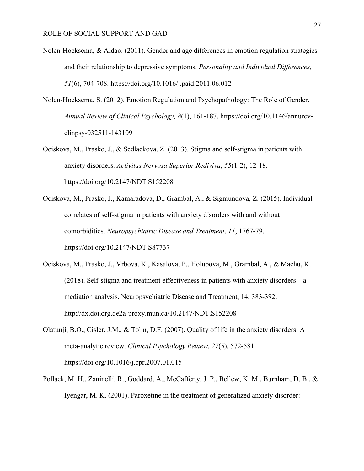- Nolen-Hoeksema, & Aldao. (2011). Gender and age differences in emotion regulation strategies and their relationship to depressive symptoms. *Personality and Individual Differences, 51*(6), 704-708. https://doi.org/10.1016/j.paid.2011.06.012
- Nolen-Hoeksema, S. (2012). Emotion Regulation and Psychopathology: The Role of Gender. *Annual Review of Clinical Psychology, 8*(1), 161-187. https://doi.org/10.1146/annurevclinpsy-032511-143109
- Ociskova, M., Prasko, J., & Sedlackova, Z. (2013). Stigma and self-stigma in patients with anxiety disorders. *Activitas Nervosa Superior Rediviva*, *55*(1-2), 12-18. https://doi.org/10.2147/NDT.S152208
- Ociskova, M., Prasko, J., Kamaradova, D., Grambal, A., & Sigmundova, Z. (2015). Individual correlates of self-stigma in patients with anxiety disorders with and without comorbidities. *Neuropsychiatric Disease and Treatment*, *11*, 1767-79. https://doi.org/10.2147/NDT.S87737
- Ociskova, M., Prasko, J., Vrbova, K., Kasalova, P., Holubova, M., Grambal, A., & Machu, K. (2018). Self-stigma and treatment effectiveness in patients with anxiety disorders – a mediation analysis. Neuropsychiatric Disease and Treatment, 14, 383-392. http://dx.doi.org.qe2a-proxy.mun.ca/10.2147/NDT.S152208
- Olatunji, B.O., Cisler, J.M., & Tolin, D.F. (2007). Quality of life in the anxiety disorders: A meta-analytic review. *Clinical Psychology Review*, *27*(5), 572-581. https://doi.org/10.1016/j.cpr.2007.01.015
- Pollack, M. H., Zaninelli, R., Goddard, A., McCafferty, J. P., Bellew, K. M., Burnham, D. B., & Iyengar, M. K. (2001). Paroxetine in the treatment of generalized anxiety disorder: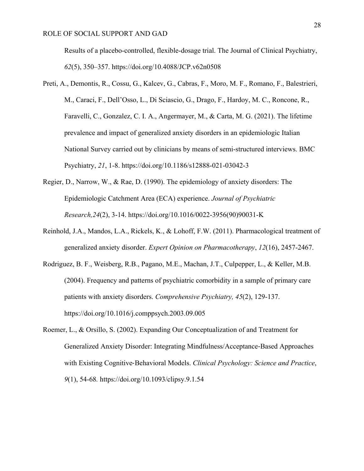Results of a placebo-controlled, flexible-dosage trial. The Journal of Clinical Psychiatry, *62*(5), 350–357. https://doi.org/10.4088/JCP.v62n0508

- Preti, A., Demontis, R., Cossu, G., Kalcev, G., Cabras, F., Moro, M. F., Romano, F., Balestrieri, M., Caraci, F., Dell'Osso, L., Di Sciascio, G., Drago, F., Hardoy, M. C., Roncone, R., Faravelli, C., Gonzalez, C. I. A., Angermayer, M., & Carta, M. G. (2021). The lifetime prevalence and impact of generalized anxiety disorders in an epidemiologic Italian National Survey carried out by clinicians by means of semi-structured interviews. BMC Psychiatry, *21*, 1-8. https://doi.org/10.1186/s12888-021-03042-3
- Regier, D., Narrow, W., & Rae, D. (1990). The epidemiology of anxiety disorders: The Epidemiologic Catchment Area (ECA) experience. *Journal of Psychiatric Research,24*(2), 3-14. https://doi.org/10.1016/0022-3956(90)90031-K
- Reinhold, J.A., Mandos, L.A., Rickels, K., & Lohoff, F.W. (2011). Pharmacological treatment of generalized anxiety disorder. *Expert Opinion on Pharmacotherapy*, *12*(16), 2457-2467.
- Rodriguez, B. F., Weisberg, R.B., Pagano, M.E., Machan, J.T., Culpepper, L., & Keller, M.B. (2004). Frequency and patterns of psychiatric comorbidity in a sample of primary care patients with anxiety disorders. *Comprehensive Psychiatry, 45*(2), 129-137. https://doi.org/10.1016/j.comppsych.2003.09.005
- Roemer, L., & Orsillo, S. (2002). Expanding Our Conceptualization of and Treatment for Generalized Anxiety Disorder: Integrating Mindfulness/Acceptance-Based Approaches with Existing Cognitive-Behavioral Models. *Clinical Psychology: Science and Practice*, *9*(1), 54-68*.* https://doi.org/10.1093/clipsy.9.1.54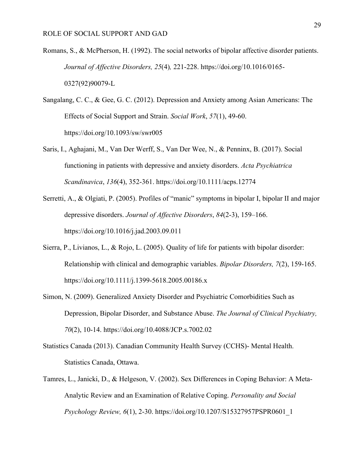- Romans, S., & McPherson, H. (1992). The social networks of bipolar affective disorder patients. *Journal of Affective Disorders, 25*(4)*,* 221-228. https://doi.org/10.1016/0165- 0327(92)90079-L
- Sangalang, C. C., & Gee, G. C. (2012). Depression and Anxiety among Asian Americans: The Effects of Social Support and Strain. *Social Work*, *57*(1), 49-60. https://doi.org/10.1093/sw/swr005
- Saris, I., Aghajani, M., Van Der Werff, S., Van Der Wee, N., & Penninx, B. (2017). Social functioning in patients with depressive and anxiety disorders. *Acta Psychiatrica Scandinavica*, *136*(4), 352-361. https://doi.org/10.1111/acps.12774
- Serretti, A., & Olgiati, P. (2005). Profiles of "manic" symptoms in bipolar I, bipolar II and major depressive disorders. *Journal of Affective Disorders*, *84*(2-3), 159–166. https://doi.org/10.1016/j.jad.2003.09.011
- Sierra, P., Livianos, L., & Rojo, L. (2005). Quality of life for patients with bipolar disorder: Relationship with clinical and demographic variables. *Bipolar Disorders, 7*(2), 159-165. https://doi.org/10.1111/j.1399-5618.2005.00186.x
- Simon, N. (2009). Generalized Anxiety Disorder and Psychiatric Comorbidities Such as Depression, Bipolar Disorder, and Substance Abuse. *The Journal of Clinical Psychiatry, 70*(2), 10-14. https://doi.org/10.4088/JCP.s.7002.02
- Statistics Canada (2013). Canadian Community Health Survey (CCHS)- Mental Health. Statistics Canada, Ottawa.
- Tamres, L., Janicki, D., & Helgeson, V. (2002). Sex Differences in Coping Behavior: A Meta-Analytic Review and an Examination of Relative Coping. *Personality and Social Psychology Review, 6*(1), 2-30. https://doi.org/10.1207/S15327957PSPR0601\_1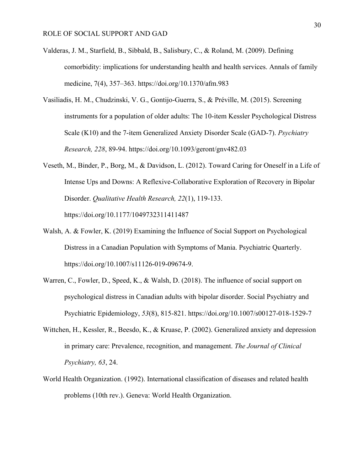- Valderas, J. M., Starfield, B., Sibbald, B., Salisbury, C., & Roland, M. (2009). Defining comorbidity: implications for understanding health and health services. Annals of family medicine, 7(4), 357–363. https://doi.org/10.1370/afm.983
- Vasiliadis, H. M., Chudzinski, V. G., Gontijo-Guerra, S., & Préville, M. (2015). Screening instruments for a population of older adults: The 10-item Kessler Psychological Distress Scale (K10) and the 7-item Generalized Anxiety Disorder Scale (GAD-7). *Psychiatry Research, 228*, 89-94. https://doi.org/10.1093/geront/gnv482.03
- Veseth, M., Binder, P., Borg, M., & Davidson, L. (2012). Toward Caring for Oneself in a Life of Intense Ups and Downs: A Reflexive-Collaborative Exploration of Recovery in Bipolar Disorder. *Qualitative Health Research, 22*(1), 119-133. https://doi.org/10.1177/1049732311411487
- Walsh, A. & Fowler, K. (2019) Examining the Influence of Social Support on Psychological Distress in a Canadian Population with Symptoms of Mania. Psychiatric Quarterly. https://doi.org/10.1007/s11126-019-09674-9.
- Warren, C., Fowler, D., Speed, K., & Walsh, D. (2018). The influence of social support on psychological distress in Canadian adults with bipolar disorder. Social Psychiatry and Psychiatric Epidemiology, *53*(8), 815-821. https://doi.org/10.1007/s00127-018-1529-7
- Wittchen, H., Kessler, R., Beesdo, K., & Kruase, P. (2002). Generalized anxiety and depression in primary care: Prevalence, recognition, and management. *The Journal of Clinical Psychiatry, 63*, 24.
- World Health Organization. (1992). International classification of diseases and related health problems (10th rev.). Geneva: World Health Organization.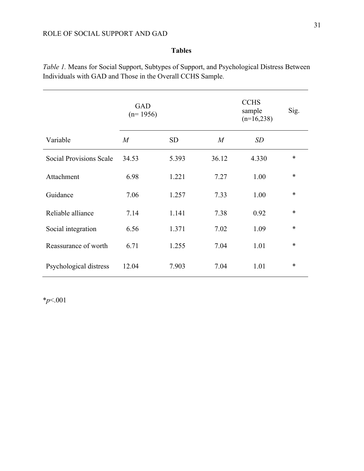# **Tables**

*Table 1.* Means for Social Support, Subtypes of Support, and Psychological Distress Between Individuals with GAD and Those in the Overall CCHS Sample.

|                         | <b>GAD</b><br>$(n=1956)$ |           |       | <b>CCHS</b><br>sample<br>$(n=16,238)$ | Sig.   |
|-------------------------|--------------------------|-----------|-------|---------------------------------------|--------|
| Variable                | M                        | <b>SD</b> | M     | SD                                    |        |
| Social Provisions Scale | 34.53                    | 5.393     | 36.12 | 4.330                                 | $\ast$ |
| Attachment              | 6.98                     | 1.221     | 7.27  | 1.00                                  | $\ast$ |
| Guidance                | 7.06                     | 1.257     | 7.33  | 1.00                                  | $\ast$ |
| Reliable alliance       | 7.14                     | 1.141     | 7.38  | 0.92                                  | $\ast$ |
| Social integration      | 6.56                     | 1.371     | 7.02  | 1.09                                  | *      |
| Reassurance of worth    | 6.71                     | 1.255     | 7.04  | 1.01                                  | $\ast$ |
| Psychological distress  | 12.04                    | 7.903     | 7.04  | 1.01                                  | $\ast$ |

\**p*<.001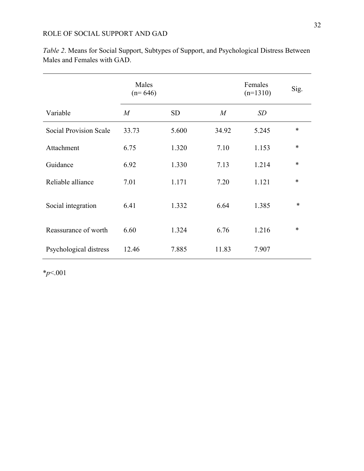|                               | Males<br>$(n=646)$ |           |                  | Females<br>$(n=1310)$ | Sig.   |
|-------------------------------|--------------------|-----------|------------------|-----------------------|--------|
| Variable                      | $\boldsymbol{M}$   | <b>SD</b> | $\boldsymbol{M}$ | SD                    |        |
| <b>Social Provision Scale</b> | 33.73              | 5.600     | 34.92            | 5.245                 | $\ast$ |
| Attachment                    | 6.75               | 1.320     | 7.10             | 1.153                 | $\ast$ |
| Guidance                      | 6.92               | 1.330     | 7.13             | 1.214                 | $\ast$ |
| Reliable alliance             | 7.01               | 1.171     | 7.20             | 1.121                 | $\ast$ |
| Social integration            | 6.41               | 1.332     | 6.64             | 1.385                 | $\ast$ |
| Reassurance of worth          | 6.60               | 1.324     | 6.76             | 1.216                 | $\ast$ |
| Psychological distress        | 12.46              | 7.885     | 11.83            | 7.907                 |        |

*Table 2*. Means for Social Support, Subtypes of Support, and Psychological Distress Between Males and Females with GAD.

\**p*<.001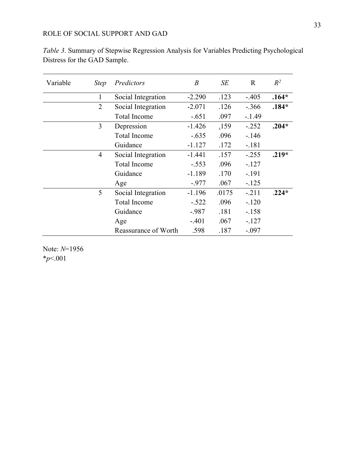| Variable | <i>Step</i>    | Predictors           | B        | SE    | $\mathbf R$ | $R^2$   |
|----------|----------------|----------------------|----------|-------|-------------|---------|
|          | 1              | Social Integration   | $-2.290$ | .123  | $-.405$     | $.164*$ |
|          | $\overline{2}$ | Social Integration   | $-2.071$ | .126  | $-.366$     | $.184*$ |
|          |                | Total Income         | $-.651$  | .097  | $-.1.49$    |         |
|          | 3              | Depression           | $-1.426$ | .159  | $-.252$     | $.204*$ |
|          |                | <b>Total Income</b>  | $-.635$  | .096  | $-.146$     |         |
|          |                | Guidance             | $-1.127$ | .172  | $-.181$     |         |
|          | $\overline{4}$ | Social Integration   | $-1.441$ | .157  | $-.255$     | $.219*$ |
|          |                | <b>Total Income</b>  | $-.553$  | .096  | $-.127$     |         |
|          |                | Guidance             | $-1.189$ | .170  | $-.191$     |         |
|          |                | Age                  | $-.977$  | .067  | $-.125$     |         |
|          | 5              | Social Integration   | $-1.196$ | .0175 | $-.211$     | $.224*$ |
|          |                | <b>Total Income</b>  | $-.522$  | .096  | $-.120$     |         |
|          |                | Guidance             | $-.987$  | .181  | $-.158$     |         |
|          |                | Age                  | $-.401$  | .067  | $-.127$     |         |
|          |                | Reassurance of Worth | .598     | .187  | $-.097$     |         |

*Table 3*. Summary of Stepwise Regression Analysis for Variables Predicting Psychological Distress for the GAD Sample.

Note: *N*=1956 \**p*<.001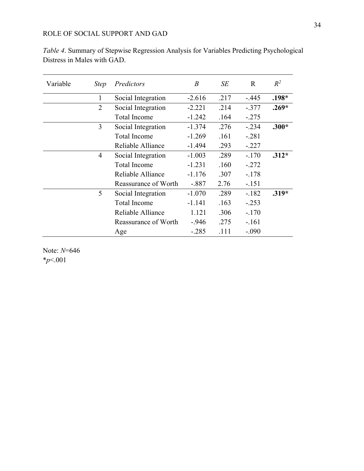| Variable | <i>Step</i>    | Predictors           | $\boldsymbol{B}$ | SE   | R       | $R^2$   |
|----------|----------------|----------------------|------------------|------|---------|---------|
|          | 1              | Social Integration   | $-2.616$         | .217 | $-.445$ | $.198*$ |
|          | $\overline{2}$ | Social Integration   | $-2.221$         | .214 | $-.377$ | $.269*$ |
|          |                | <b>Total Income</b>  | $-1.242$         | .164 | $-.275$ |         |
|          | 3              | Social Integration   | $-1.374$         | .276 | $-.234$ | $.300*$ |
|          |                | <b>Total Income</b>  | $-1.269$         | .161 | $-.281$ |         |
|          |                | Reliable Alliance    | $-1.494$         | .293 | $-.227$ |         |
|          | 4              | Social Integration   | $-1.003$         | .289 | $-.170$ | $.312*$ |
|          |                | <b>Total Income</b>  | $-1.231$         | .160 | $-.272$ |         |
|          |                | Reliable Alliance    | $-1.176$         | .307 | $-.178$ |         |
|          |                | Reassurance of Worth | $-.887$          | 2.76 | $-.151$ |         |
|          | 5              | Social Integration   | $-1.070$         | .289 | $-.182$ | $.319*$ |
|          |                | <b>Total Income</b>  | $-1.141$         | .163 | $-.253$ |         |
|          |                | Reliable Alliance    | 1.121            | .306 | $-.170$ |         |
|          |                | Reassurance of Worth | $-.946$          | .275 | $-.161$ |         |
|          |                | Age                  | $-.285$          | .111 | $-.090$ |         |

*Table 4*. Summary of Stepwise Regression Analysis for Variables Predicting Psychological Distress in Males with GAD.

Note: *N*=646 \**p*<.001